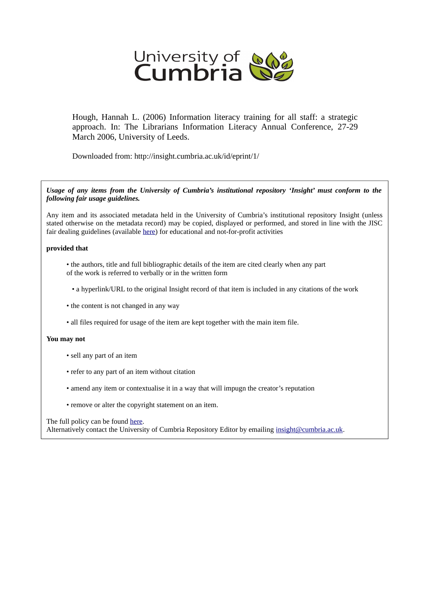

Hough, Hannah L. (2006) Information literacy training for all staff: a strategic approach. In: The Librarians Information Literacy Annual Conference, 27-29 March 2006, University of Leeds.

Downloaded from: http://insight.cumbria.ac.uk/id/eprint/1/

*Usage of any items from the University of Cumbria's institutional repository 'Insight' must conform to the following fair usage guidelines.*

Any item and its associated metadata held in the University of Cumbria's institutional repository Insight (unless stated otherwise on the metadata record) may be copied, displayed or performed, and stored in line with the JISC fair dealing guidelines (available [here\)](http://www.ukoln.ac.uk/services/elib/papers/pa/fair/) for educational and not-for-profit activities

#### **provided that**

- the authors, title and full bibliographic details of the item are cited clearly when any part of the work is referred to verbally or in the written form
	- a hyperlink/URL to the original Insight record of that item is included in any citations of the work
- the content is not changed in any way
- all files required for usage of the item are kept together with the main item file.

#### **You may not**

- sell any part of an item
- refer to any part of an item without citation
- amend any item or contextualise it in a way that will impugn the creator's reputation
- remove or alter the copyright statement on an item.

#### The full policy can be found [here.](http://insight.cumbria.ac.uk/legal.html#section5)

Alternatively contact the University of Cumbria Repository Editor by emailing [insight@cumbria.ac.uk.](mailto:insight@cumbria.ac.uk)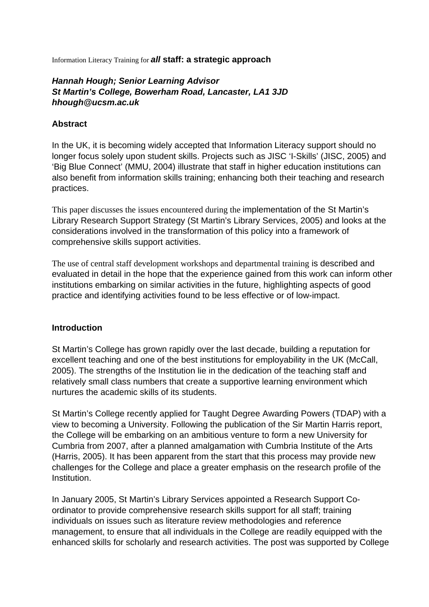Information Literacy Training for **all staff: a strategic approach**

### **Hannah Hough; Senior Learning Advisor St Martin's College, Bowerham Road, Lancaster, LA1 3JD hhough@ucsm.ac.uk**

#### **Abstract**

In the UK, it is becoming widely accepted that Information Literacy support should no longer focus solely upon student skills. Projects such as JISC 'I-Skills' (JISC, 2005) and 'Big Blue Connect' (MMU, 2004) illustrate that staff in higher education institutions can also benefit from information skills training; enhancing both their teaching and research practices.

This paper discusses the issues encountered during the implementation of the St Martin's Library Research Support Strategy (St Martin's Library Services, 2005) and looks at the considerations involved in the transformation of this policy into a framework of comprehensive skills support activities.

The use of central staff development workshops and departmental training is described and evaluated in detail in the hope that the experience gained from this work can inform other institutions embarking on similar activities in the future, highlighting aspects of good practice and identifying activities found to be less effective or of low-impact.

#### **Introduction**

St Martin's College has grown rapidly over the last decade, building a reputation for excellent teaching and one of the best institutions for employability in the UK (McCall, 2005). The strengths of the Institution lie in the dedication of the teaching staff and relatively small class numbers that create a supportive learning environment which nurtures the academic skills of its students.

St Martin's College recently applied for Taught Degree Awarding Powers (TDAP) with a view to becoming a University. Following the publication of the Sir Martin Harris report, the College will be embarking on an ambitious venture to form a new University for Cumbria from 2007, after a planned amalgamation with Cumbria Institute of the Arts (Harris, 2005). It has been apparent from the start that this process may provide new challenges for the College and place a greater emphasis on the research profile of the Institution.

In January 2005, St Martin's Library Services appointed a Research Support Coordinator to provide comprehensive research skills support for all staff; training individuals on issues such as literature review methodologies and reference management, to ensure that all individuals in the College are readily equipped with the enhanced skills for scholarly and research activities. The post was supported by College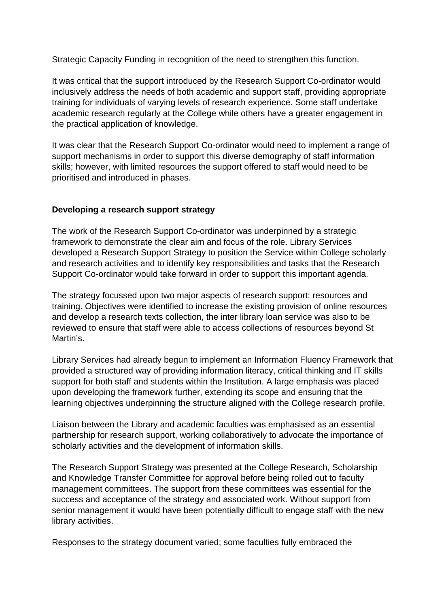Strategic Capacity Funding in recognition of the need to strengthen this function.

It was critical that the support introduced by the Research Support Co-ordinator would inclusively address the needs of both academic and support staff, providing appropriate training for individuals of varying levels of research experience. Some staff undertake academic research regularly at the College while others have a greater engagement in the practical application of knowledge.

It was clear that the Research Support Co-ordinator would need to implement a range of support mechanisms in order to support this diverse demography of staff information skills; however, with limited resources the support offered to staff would need to be prioritised and introduced in phases.

### **Developing a research support strategy**

The work of the Research Support Co-ordinator was underpinned by a strategic framework to demonstrate the clear aim and focus of the role. Library Services developed a Research Support Strategy to position the Service within College scholarly and research activities and to identify key responsibilities and tasks that the Research Support Co-ordinator would take forward in order to support this important agenda.

The strategy focussed upon two major aspects of research support: resources and training. Objectives were identified to increase the existing provision of online resources and develop a research texts collection, the inter library loan service was also to be reviewed to ensure that staff were able to access collections of resources beyond St Martin's.

Library Services had already begun to implement an Information Fluency Framework that provided a structured way of providing information literacy, critical thinking and IT skills support for both staff and students within the Institution. A large emphasis was placed upon developing the framework further, extending its scope and ensuring that the learning objectives underpinning the structure aligned with the College research profile.

Liaison between the Library and academic faculties was emphasised as an essential partnership for research support, working collaboratively to advocate the importance of scholarly activities and the development of information skills.

The Research Support Strategy was presented at the College Research, Scholarship and Knowledge Transfer Committee for approval before being rolled out to faculty management committees. The support from these committees was essential for the success and acceptance of the strategy and associated work. Without support from senior management it would have been potentially difficult to engage staff with the new library activities.

Responses to the strategy document varied; some faculties fully embraced the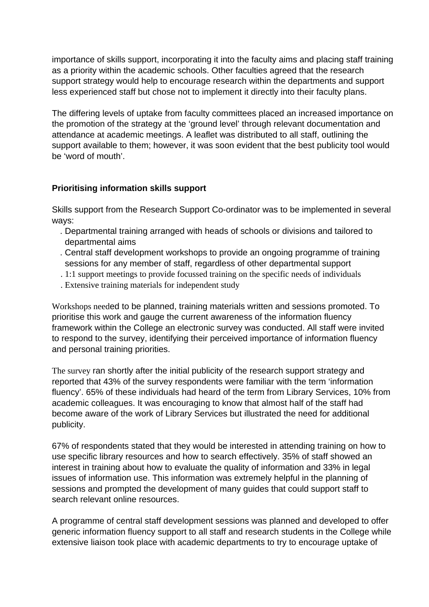importance of skills support, incorporating it into the faculty aims and placing staff training as a priority within the academic schools. Other faculties agreed that the research support strategy would help to encourage research within the departments and support less experienced staff but chose not to implement it directly into their faculty plans.

The differing levels of uptake from faculty committees placed an increased importance on the promotion of the strategy at the 'ground level' through relevant documentation and attendance at academic meetings. A leaflet was distributed to all staff, outlining the support available to them; however, it was soon evident that the best publicity tool would be 'word of mouth'.

# **Prioritising information skills support**

Skills support from the Research Support Co-ordinator was to be implemented in several ways:

- . Departmental training arranged with heads of schools or divisions and tailored to departmental aims
- . Central staff development workshops to provide an ongoing programme of training sessions for any member of staff, regardless of other departmental support
- . 1:1 support meetings to provide focussed training on the specific needs of individuals
- . Extensive training materials for independent study

Workshops needed to be planned, training materials written and sessions promoted. To prioritise this work and gauge the current awareness of the information fluency framework within the College an electronic survey was conducted. All staff were invited to respond to the survey, identifying their perceived importance of information fluency and personal training priorities.

The survey ran shortly after the initial publicity of the research support strategy and reported that 43% of the survey respondents were familiar with the term 'information fluency'. 65% of these individuals had heard of the term from Library Services, 10% from academic colleagues. It was encouraging to know that almost half of the staff had become aware of the work of Library Services but illustrated the need for additional publicity.

67% of respondents stated that they would be interested in attending training on how to use specific library resources and how to search effectively. 35% of staff showed an interest in training about how to evaluate the quality of information and 33% in legal issues of information use. This information was extremely helpful in the planning of sessions and prompted the development of many guides that could support staff to search relevant online resources.

A programme of central staff development sessions was planned and developed to offer generic information fluency support to all staff and research students in the College while extensive liaison took place with academic departments to try to encourage uptake of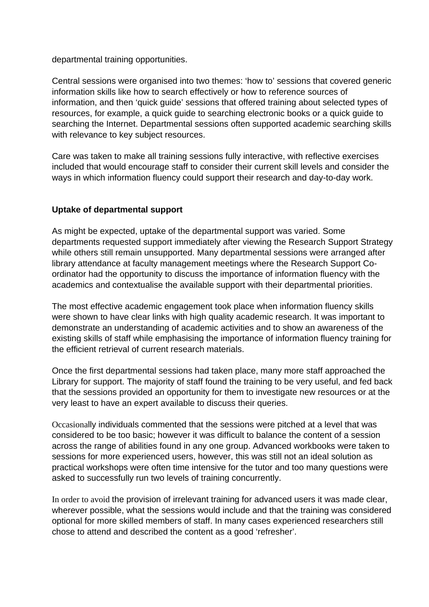departmental training opportunities.

Central sessions were organised into two themes: 'how to' sessions that covered generic information skills like how to search effectively or how to reference sources of information, and then 'quick guide' sessions that offered training about selected types of resources, for example, a quick guide to searching electronic books or a quick guide to searching the Internet. Departmental sessions often supported academic searching skills with relevance to key subject resources.

Care was taken to make all training sessions fully interactive, with reflective exercises included that would encourage staff to consider their current skill levels and consider the ways in which information fluency could support their research and day-to-day work.

# **Uptake of departmental support**

As might be expected, uptake of the departmental support was varied. Some departments requested support immediately after viewing the Research Support Strategy while others still remain unsupported. Many departmental sessions were arranged after library attendance at faculty management meetings where the Research Support Coordinator had the opportunity to discuss the importance of information fluency with the academics and contextualise the available support with their departmental priorities.

The most effective academic engagement took place when information fluency skills were shown to have clear links with high quality academic research. It was important to demonstrate an understanding of academic activities and to show an awareness of the existing skills of staff while emphasising the importance of information fluency training for the efficient retrieval of current research materials.

Once the first departmental sessions had taken place, many more staff approached the Library for support. The majority of staff found the training to be very useful, and fed back that the sessions provided an opportunity for them to investigate new resources or at the very least to have an expert available to discuss their queries.

Occasionally individuals commented that the sessions were pitched at a level that was considered to be too basic; however it was difficult to balance the content of a session across the range of abilities found in any one group. Advanced workbooks were taken to sessions for more experienced users, however, this was still not an ideal solution as practical workshops were often time intensive for the tutor and too many questions were asked to successfully run two levels of training concurrently.

In order to avoid the provision of irrelevant training for advanced users it was made clear, wherever possible, what the sessions would include and that the training was considered optional for more skilled members of staff. In many cases experienced researchers still chose to attend and described the content as a good 'refresher'.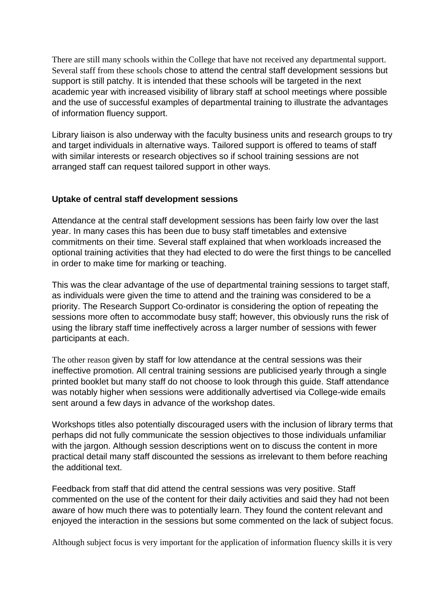There are still many schools within the College that have not received any departmental support. Several staff from these schools chose to attend the central staff development sessions but support is still patchy. It is intended that these schools will be targeted in the next academic year with increased visibility of library staff at school meetings where possible and the use of successful examples of departmental training to illustrate the advantages of information fluency support.

Library liaison is also underway with the faculty business units and research groups to try and target individuals in alternative ways. Tailored support is offered to teams of staff with similar interests or research objectives so if school training sessions are not arranged staff can request tailored support in other ways.

### **Uptake of central staff development sessions**

Attendance at the central staff development sessions has been fairly low over the last year. In many cases this has been due to busy staff timetables and extensive commitments on their time. Several staff explained that when workloads increased the optional training activities that they had elected to do were the first things to be cancelled in order to make time for marking or teaching.

This was the clear advantage of the use of departmental training sessions to target staff, as individuals were given the time to attend and the training was considered to be a priority. The Research Support Co-ordinator is considering the option of repeating the sessions more often to accommodate busy staff; however, this obviously runs the risk of using the library staff time ineffectively across a larger number of sessions with fewer participants at each.

The other reason given by staff for low attendance at the central sessions was their ineffective promotion. All central training sessions are publicised yearly through a single printed booklet but many staff do not choose to look through this guide. Staff attendance was notably higher when sessions were additionally advertised via College-wide emails sent around a few days in advance of the workshop dates.

Workshops titles also potentially discouraged users with the inclusion of library terms that perhaps did not fully communicate the session objectives to those individuals unfamiliar with the jargon. Although session descriptions went on to discuss the content in more practical detail many staff discounted the sessions as irrelevant to them before reaching the additional text.

Feedback from staff that did attend the central sessions was very positive. Staff commented on the use of the content for their daily activities and said they had not been aware of how much there was to potentially learn. They found the content relevant and enjoyed the interaction in the sessions but some commented on the lack of subject focus.

Although subject focus is very important for the application of information fluency skills it is very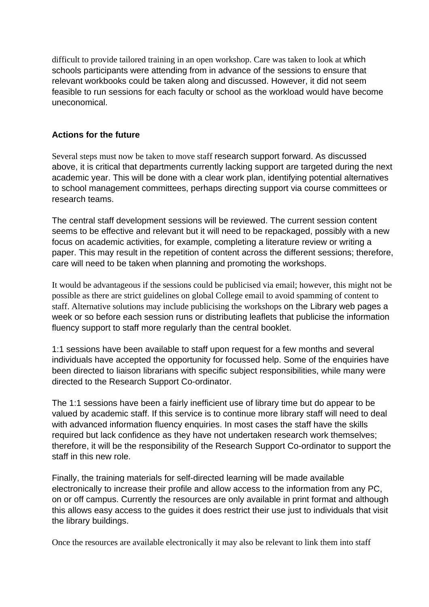difficult to provide tailored training in an open workshop. Care was taken to look at which schools participants were attending from in advance of the sessions to ensure that relevant workbooks could be taken along and discussed. However, it did not seem feasible to run sessions for each faculty or school as the workload would have become uneconomical.

#### **Actions for the future**

Several steps must now be taken to move staff research support forward. As discussed above, it is critical that departments currently lacking support are targeted during the next academic year. This will be done with a clear work plan, identifying potential alternatives to school management committees, perhaps directing support via course committees or research teams.

The central staff development sessions will be reviewed. The current session content seems to be effective and relevant but it will need to be repackaged, possibly with a new focus on academic activities, for example, completing a literature review or writing a paper. This may result in the repetition of content across the different sessions; therefore, care will need to be taken when planning and promoting the workshops.

It would be advantageous if the sessions could be publicised via email; however, this might not be possible as there are strict guidelines on global College email to avoid spamming of content to staff. Alternative solutions may include publicising the workshops on the Library web pages a week or so before each session runs or distributing leaflets that publicise the information fluency support to staff more regularly than the central booklet.

1:1 sessions have been available to staff upon request for a few months and several individuals have accepted the opportunity for focussed help. Some of the enquiries have been directed to liaison librarians with specific subject responsibilities, while many were directed to the Research Support Co-ordinator.

The 1:1 sessions have been a fairly inefficient use of library time but do appear to be valued by academic staff. If this service is to continue more library staff will need to deal with advanced information fluency enquiries. In most cases the staff have the skills required but lack confidence as they have not undertaken research work themselves; therefore, it will be the responsibility of the Research Support Co-ordinator to support the staff in this new role.

Finally, the training materials for self-directed learning will be made available electronically to increase their profile and allow access to the information from any PC, on or off campus. Currently the resources are only available in print format and although this allows easy access to the guides it does restrict their use just to individuals that visit the library buildings.

Once the resources are available electronically it may also be relevant to link them into staff